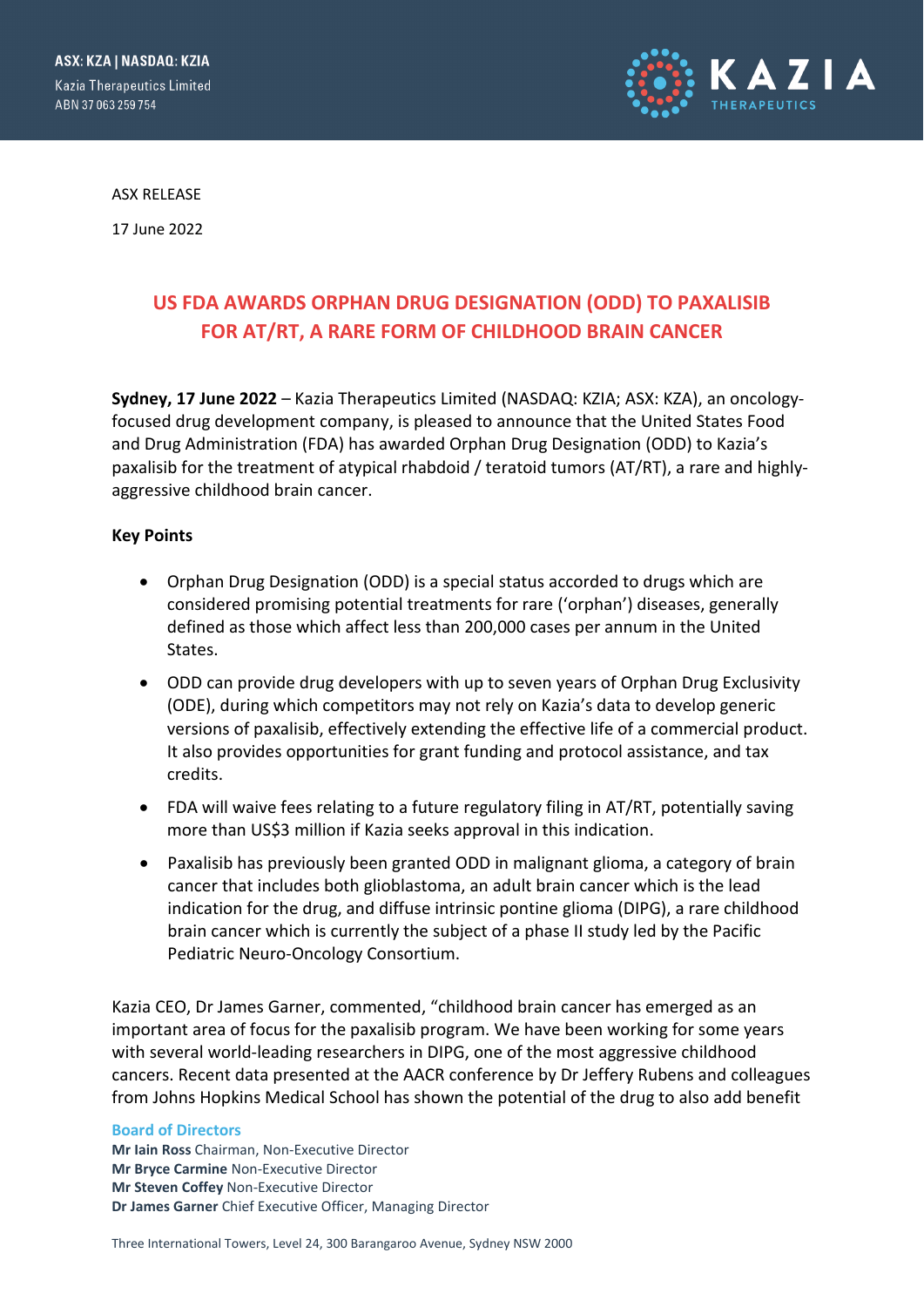

ASX RELEASE

17 June 2022

# **US FDA AWARDS ORPHAN DRUG DESIGNATION (ODD) TO PAXALISIB FOR AT/RT, A RARE FORM OF CHILDHOOD BRAIN CANCER**

**Sydney, 17 June 2022** – Kazia Therapeutics Limited (NASDAQ: KZIA; ASX: KZA), an oncologyfocused drug development company, is pleased to announce that the United States Food and Drug Administration (FDA) has awarded Orphan Drug Designation (ODD) to Kazia's paxalisib for the treatment of atypical rhabdoid / teratoid tumors (AT/RT), a rare and highlyaggressive childhood brain cancer.

## **Key Points**

- Orphan Drug Designation (ODD) is a special status accorded to drugs which are considered promising potential treatments for rare ('orphan') diseases, generally defined as those which affect less than 200,000 cases per annum in the United States.
- ODD can provide drug developers with up to seven years of Orphan Drug Exclusivity (ODE), during which competitors may not rely on Kazia's data to develop generic versions of paxalisib, effectively extending the effective life of a commercial product. It also provides opportunities for grant funding and protocol assistance, and tax credits.
- FDA will waive fees relating to a future regulatory filing in AT/RT, potentially saving more than US\$3 million if Kazia seeks approval in this indication.
- Paxalisib has previously been granted ODD in malignant glioma, a category of brain cancer that includes both glioblastoma, an adult brain cancer which is the lead indication for the drug, and diffuse intrinsic pontine glioma (DIPG), a rare childhood brain cancer which is currently the subject of a phase II study led by the Pacific Pediatric Neuro-Oncology Consortium.

Kazia CEO, Dr James Garner, commented, "childhood brain cancer has emerged as an important area of focus for the paxalisib program. We have been working for some years with several world-leading researchers in DIPG, one of the most aggressive childhood cancers. Recent data presented at the AACR conference by Dr Jeffery Rubens and colleagues from Johns Hopkins Medical School has shown the potential of the drug to also add benefit

#### **Board of Directors**

**Mr Iain Ross** Chairman, Non-Executive Director **Mr Bryce Carmine** Non-Executive Director **Mr Steven Coffey** Non-Executive Director **Dr James Garner** Chief Executive Officer, Managing Director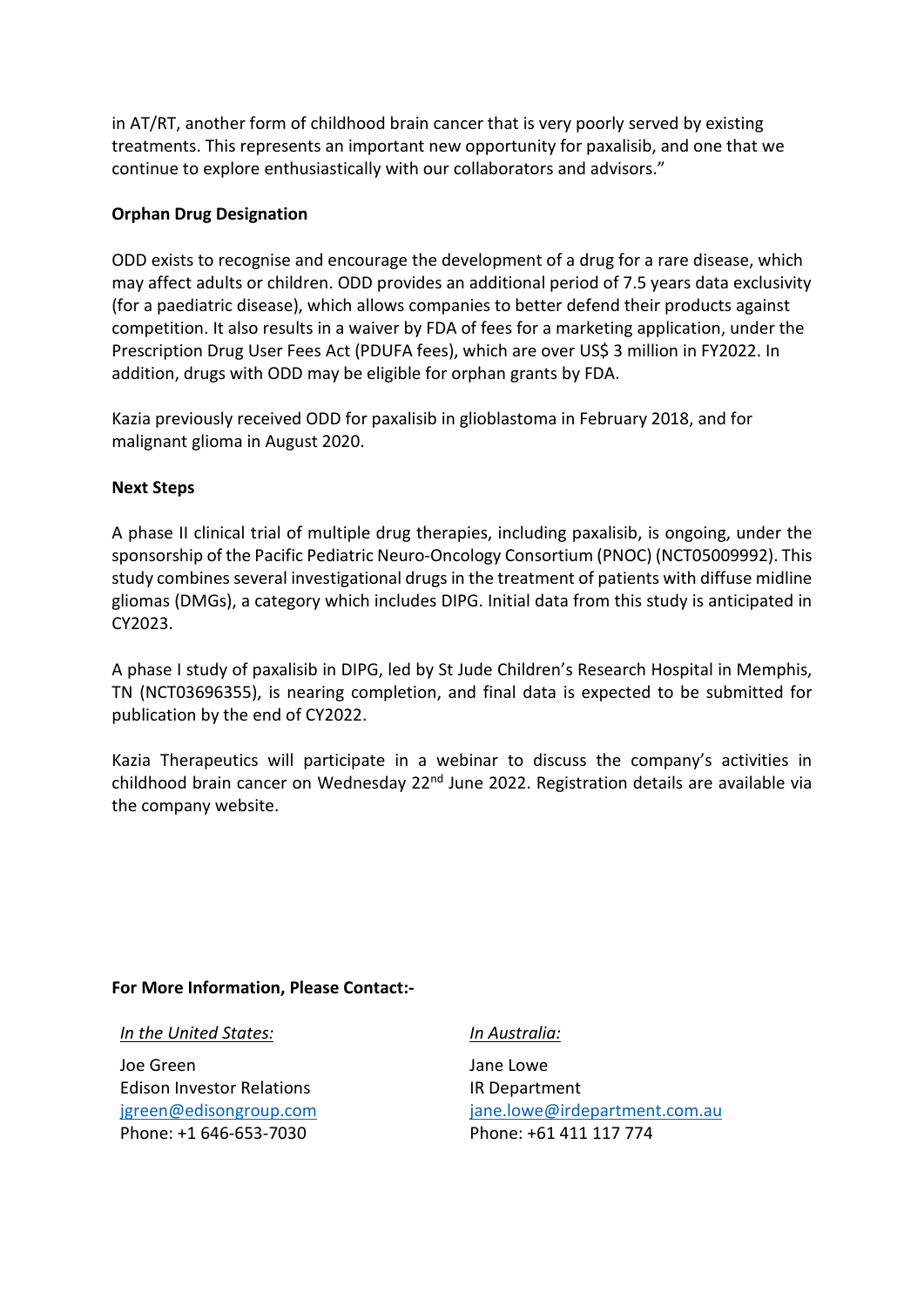in AT/RT, another form of childhood brain cancer that is very poorly served by existing treatments. This represents an important new opportunity for paxalisib, and one that we continue to explore enthusiastically with our collaborators and advisors."

# **Orphan Drug Designation**

ODD exists to recognise and encourage the development of a drug for a rare disease, which may affect adults or children. ODD provides an additional period of 7.5 years data exclusivity (for a paediatric disease), which allows companies to better defend their products against competition. It also results in a waiver by FDA of fees for a marketing application, under the Prescription Drug User Fees Act (PDUFA fees), which are over US\$ 3 million in FY2022. In addition, drugs with ODD may be eligible for orphan grants by FDA.

Kazia previously received ODD for paxalisib in glioblastoma in February 2018, and for malignant glioma in August 2020.

# **Next Steps**

A phase II clinical trial of multiple drug therapies, including paxalisib, is ongoing, under the sponsorship of the Pacific Pediatric Neuro-Oncology Consortium (PNOC) (NCT05009992). This study combines several investigational drugs in the treatment of patients with diffuse midline gliomas (DMGs), a category which includes DIPG. Initial data from this study is anticipated in CY2023.

A phase I study of paxalisib in DIPG, led by St Jude Children's Research Hospital in Memphis, TN (NCT03696355), is nearing completion, and final data is expected to be submitted for publication by the end of CY2022.

Kazia Therapeutics will participate in a webinar to discuss the company's activities in childhood brain cancer on Wednesday 22<sup>nd</sup> June 2022. Registration details are available via the company website.

## **For More Information, Please Contact:-**

*In the United States:*

Joe Green Edison Investor Relations [jgreen@edisongroup.com](mailto:jgreen@edisongroup.com) Phone: +1 646-653-7030

## *In Australia:*

Jane Lowe IR Department [jane.lowe@irdepartment.com.au](mailto:jane.lowe@irdepartment.com.au) Phone: +61 411 117 774